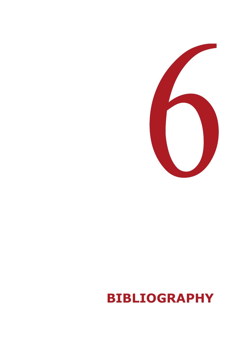

# **BIBLIOGRAPHY**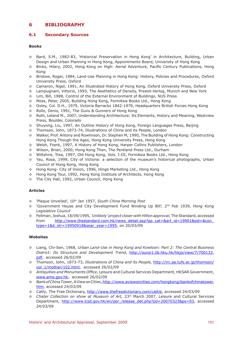# **6 BIBLIOGRAPHY**

## **6.1 Secondary Sources**

#### **Books**

- ◊ Bard, S.M., 1982-83, 'Historical Preservation in Hong Kong' in Architecture, Building, Urban Design and Urban Planning in Hong Kong, Appointments Board, University of Hong Kong
- ◊ Binks, Hilary, 2002, Hong Kong on High: Aerial Adventure, Pacific Century Publications, Hong Kong
- ◊ Bristow, Roger, 1984, Land-Use Planning in Hong Kong: History, Policies and Procedures, Oxford University Press, Oxford
- ◊ Cameron, Nigel, 1991, An Illustrated History of Hong Kong, Oxford University Press, Oxford
- ◊ Lampugnani, Vittorio, 1993, The Aesthetics of Density, Prestel-Verlog, Munich and New York
- ◊ Lim, Bill, 1988, Control of the External Environment of Buildings, NUS Press
- ◊ Moss, Peter, 2005, Building Hong Kong, FormAsia Books Ltd., Hong Kong
- ◊ Oxley, Col. D.H., 1979, Victoria Barracks 1842-1979, Headquarters British Forces Hong Kong
- ◊ Rollo, Denis, 1991, The Guns & Gunners of Hong Kong
- ◊ Roth, Leland M., 2007, Understanding Architecture: Its Elements, History and Meaning, Westview Press, Boulder, Colorado
- ◊ Shuyong, Liu, 1997, An Outline History of Hong Kong, Foreign Languages Press, Beijing
- ◊ Thomson, John, 1873-74, Illustrations of China and its People, London
- ◊ Walker, Prof. Antony and Rowlinson, Dr. Stephen M, 1990, The Building of Hong Kong: Constructing Hong Kong Though the Ages, Hong Kong University Press, Hong Kong
- ◊ Welsh, Frank, 1997, A History of Hong Kong, Harper Collins Publishers, London
- ◊ Wilson, Brian, 2000, Hong Kong Then, The Pentland Press Ltd., Durham
- ◊ Wiltshire, Trea, 1997, Old Hong Kong, Vols. I-III, FormAsia Books Ltd., Hong Kong
- ◊ Yau, Rosa, 1999, City of Victoria: a selection of the museum's historical photographs, Urban Council of Hong Kong, Hong Kong
- ◊ Hong Kong- City of Vision, 1996, Hinge Marketing Ltd., Hong Kong
- ◊ Hong Kong Tour, 1992, Hong Kong Institute of Architects, Hong Kong
- ◊ The City Hall, 1992, Urban Council, Hong Kong

## **Articles**

- ◊ 'Plaque Unveiled', 10th Jan 1957, *South China Morning Post*
- ◊ 'Government House and City Development Fund Winding Up Bill', 2nd Feb 1939, *Hong Kong Legislative Council*
- ◊ Fellman, Joshua, 18/09/1995, *'Unlikely' project closer with Hilton approval*, The Standard, accessed from http://www.thestandard.com.hk/news\_detail.asp?pp\_cat=&art\_id=19901&sid=&con\_ type=1&d\_str=19950918&sear\_year=1995, on 20/03/09

## **Websites**

- ◊ Liang, Chi-Sen, 1968, *Urban Land-Use in Hong Kong and Kowloon: Part 2: The Central Business District: Its Structure and Development Trend*, http://sunzi1.lib.hku.hk/hkjo/view/7/700133. pdf, accessed 26/02/09
- ◊ Thomson, John, 1873-73, *Illustrations of China and its People,* http://irc.aa.tufs.ac.jp/thomson/ vol\_1/mother/102.html, accessed 26/02/09
- *◊ Antiquities and Monuments Office*, Leisure and Cultural Services Department, HKSAR Government, www.amo.gov.hk, accessed 26/02/09
- *◊ Bank of China Tower,* A View on Cities, http://www.aviewoncities.com/hongkong/bankofchinatower. htm, accessed 24/03/09
- *◊ Catty,* The Free Dictionary, http://www.thefreedictionary.com/cattie, accessed 24/03/09
- *◊ Chater Collection on show at Museum of Art,* 23rd March 2007, Leisure and Cultural Services Department, http://www.lcsd.gov.hk/en/ppr\_release\_det.php?pd=20070323&ps=03, accessed 24/03/09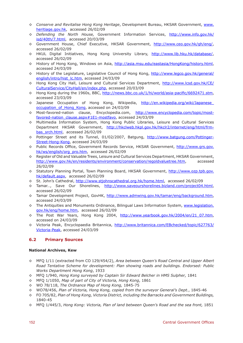- *◊ Conserve and Revitalise Hong Kong Heritage*, Development Bureau, HKSAR Government, www. heritiage.gov.hk, accessed 26/02/09
- *◊ Defending the North House,* Government Information Services, http://www.info.gov.hk/ isd/40th/7.html, accessed 20/03/09
- ◊ Government House, Chief Executive, HKSAR Government, http://www.ceo.gov.hk/gh/eng/, accessed 26/02/09
- ◊ HKUL Digital Initiatives, Hong Kong University Library, http://www.lib.hku.hk/database/, accessed 26/02/09
- ◊ History of Hong Kong, Windows on Asia, http://asia.msu.edu/eastasia/HongKong/history.html, accessed 24/03/09
- ◊ History of the Legislature, Legislative Council of Hong Kong, http://www.legco.gov.hk/general/ english/intro/hist\_lc.htm, accessed 24/03/09
- ◊ Hong Kong City Hall, Leisure and Cultural Services Department, http://www.lcsd.gov.hk/CE/ CulturalService/CityHall/en/index.php, accessed 20/03/09
- ◊ Hong Kong during the 1960s, BBC, http://news.bbc.co.uk/1/hi/world/asia-pacific/6692471.stm, accessed 23/03/09
- ◊ Japanese Occupation of Hong Kong, Wikipedia, http://en.wikipedia.org/wiki/Japanese\_ occupation\_of\_Hong\_Kong, accessed on 24/03/09
- ◊ Most-favored-nation clause, Encyclopedia.com, http://www.encyclopedia.com/topic/mostfavored-nation\_clause.aspx#1E1-mostfavo, accessed 24/03/09
- ◊ Multimedia Information System, Hong Kong Public Libraries, Leisure and Cultural Services Department HKSAR Government, http://hkclweb.hkpl.gov.hk/hkclr2/internet/eng/html/frmbas\_srch.html, accessed 26/02/09
- ◊ Pottinger Street and its Tunnel, 01/02/2007, Batgung, http://www.batgung.com/Pottinger-Street-Hong-Kong, accessed 24/03/09
- ◊ Public Records Office, Government Records Service, HKSAR Government, http://www.grs.gov. hk/ws/english/org\_pro.htm, accessed 26/02/09
- ◊ Register of Old and Valuable Trees, Leisure and Cultural Services Department, HKSAR Government, http://www.gov.hk/en/residents/environment/conservation/regoldvaluetree.htm, accessed 26/02/09
- ◊ Statutory Planning Portal, Town Planning Board, HKSAR Government, http://www.ozp.tpb.gov. hk/default.aspx, accessed 26/02/09
- ◊ St. John's Cathedral, http://www.stjohnscathedral.org.hk/home.html, accessed 26/02/09
- ◊ Tamar…, Save Our Shorelines, http://www.saveourshorelines.bizland.com/project04.html, accessed 26/02/09
- ◊ Tamar Development Project, GovHK, http://www.admwing.gov.hk/tamar/eng/background.htm, accessed 24/03/09
- ◊ The Antiquities and Monuments Ordinance, Bilingual Laws Information System, www.legislation. gov.hk/eng/home.htm, accessed 26/02/09
- ◊ The Post War Years, Hong Kong 2004, http://www.yearbook.gov.hk/2004/en/21\_07.htm, accessed on 24/03/09
- ◊ Victoria Peak, Encyclopaedia Britannica, http://www.britannica.com/EBchecked/topic/627763/ Victoria-Peak, accessed 24/03/09

# **6.2 Primary Sources**

#### **National Archives, Kew**

- ◊ MFQ 1/11 (extracted from CO 129/454/2), *Area between Queen's Road Central and Upper Albert Road Tentative Scheme for development: Plan showing roads and buildings. Endorsed: Public Works Department Hong Kong*, 1933
- ◊ MFQ 1/940, *Hong Kong surveyed by Captain Sir Edward Belcher in HMS Sulpher,* 1841
- ◊ MFQ 1/1050, *Map of part of City of Victoria, Hong Kong*, 1861
- ◊ WO 78/118, *The Ordnance Map of Hong Kong,* 1845-75
- ◊ WO78/456, *Plan of Victoria, Hong Kong, copied from the surveyor General's Dept.*, 1845-46
- ◊ FO 705/82, *Plan of Hong Kong, Victoria District, including the Barracks and Government Buildings,*  1840-45
- ◊ MFQ 1/445/3, *Hong Kong: Victoria, Plan of land between Queen's Road and the sea front,* 1851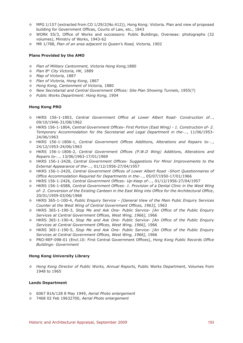- ◊ MPG 1/157 (extracted from CO 1/29/2(No.412)), Hong Kong: Victoria. Plan and view of proposed building for Government Offices, Courts of Law, etc., 1843
- ◊ WORK 55/3, Office of Works and successors: Public Buildings, Overseas: photographs (32 volumes), Ministry of Works, 1943-62
- ◊ MR 1/788, *Plan of an area adjacent to Queen's Road, Victoria,* 1902

#### **Plans Provided by the AMO**

- *◊ Plan of Military Cantonment, Victoria Hong Kong,*1880
- *◊ Plan 8th City Victoria, HK,* 1889
- *◊ Map of Victoria,* 1887
- *◊ Plan of Victoria, Hong Kong*, 1867
- *◊ Hong Kong, Cantonment of Victoria,* 1880
- *◊ New Secretariat and Central Government Offices: Site Plan Showing Tunnels*, 1955(?)
- *◊ Public Works Department: Hong Kong*, 1904

#### **Hong Kong PRO**

- ◊ HKRS 156-1-1803, *Central Government Office at Lower Albert Road- Construction of…*, 09/10/1946-31/08/1962
- ◊ HKRS 156-1-1804, *Central Government Offices- First Portion (East Wing) 1. Construction of- 2. Temporary Accommodation for the Secretariat and Legal Department in the-…*, 11/06/1953- 24/06/1963
- ◊ HKRS 156-1-1806-1, *Central Government Offices Additions, Alterations and Repairs to-…*, 24/12/1953-24/06/1963
- ◊ HKRS 156-1-1806-2, *Central Government Offices (P.W.D Wing) Additions, Alterations and Repairs to-…*, 13/06/1963-17/01/1969
- ◊ HKRS 156-1-2428, *Central Government Offices- Suggestions For Minor Improvements to the External Appearance of the-…*, 01/12/1956-27/04/1957
- ◊ HKRS 156-1-2420, *Central Government Offices of Lower Albert Road –Short Questionnaires of Office Accommodation Required for Departments in the-…*, 05/07/1950-17/01/1966
- ◊ HKRS 156-1-2426, *Central Government Offices- Up-Keep of-…*, 01/12/1956-27/04/1957
- ◊ HKRS 156-1-6588, *Central Government Offices- 1. Provision of a Dental Clinic in the West Wing of- 2. Conversion of the Existing Canteen in the East Wing into Office for the Architectural Office*, 20/01/1959-03/06/1968
- ◊ HKRS 365-1-100-4, *Public Enquiry Service [General View of the Main Pubic Enquiry Services Counter at the West Wing of Central Government Offices, 1963]*, 1963
- ◊ HKRS 365-1-190-3, *Stop Me and Ask One- Public Service- [An Office of the Public Enquiry Services at Central Government Offices, West Wing, 1966]*, 1966
- ◊ HKRS 365-1-190-4, *Stop Me and Ask One- Public Service- [An Office of the Public Enquiry Services at Central Government Offices, West Wing, 1966]*, 1966
- ◊ HKRS 365-1-190-5, *Stop Me and Ask One- Public Service- [An Office of the Public Enquiry Services at Central Government Offices, West Wing, 1966]*, 1966
- ◊ PRO-REF-098-01 (Encl.10: First Central Government Offices), *Hong Kong Public Records Office Buildings- Government*

#### **Hong Kong University Library**

*◊ Hong Kong Director of Public Works, Annual Reports*, Public Works Department, Volumes from 1948 to 1965

#### **Lands Department**

- ◊ 6067 81A/128 8 May 1949, *Aerial Photo enlargement*
- ◊ 7468 02 Feb 19632700, *Aerial Photo enlargement*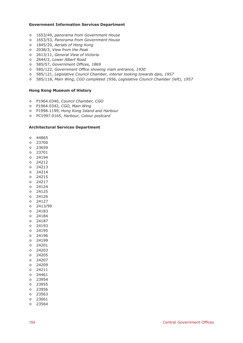#### **Government Information Services Department**

- ◊ 1653/49, *panorama from Government House*
- ◊ 1653/53, *Panorama from Government House*
- ◊ 1845/20, *Aerials of Hong Kong*
- ◊ 2038/3, *View from the Peak*
- ◊ 2613/11, *General View of Victoria*
- ◊ 2644/2, *Lower Albert Road*
- ◊ 585/57, *Government Offices, 1869*
- ◊ 585/122, *Government Office showing main entrance, 1930*
- ◊ 585/121, *Legislative Council Chamber, interior looking towards dais, 1957*
- ◊ 585/118, *Main Wing, CGO completed 1956, Legislative Council Chamber (left), 1957*

#### **Hong Kong Museum of History**

- ◊ P1964.0340, *Council Chamber, CGO*
- ◊ P1964.0342, *CGO, Main Wing*
- ◊ P1998.1199, *Hong Kong Island and Harbour*
- ◊ PC1997.0165, *Harbour, Colour postcard*

#### **Architectural Services Department**

- ◊ 44865
- ◊ 23700
- ◊ 23659
- ◊ 23701
- ◊ 24194
- ◊ 24212
- ◊ 24213
- ◊ 24214
- ◊ 24215
- ◊ 24217
- ◊ 24124
- ◊ 24125 ◊ 24126
- ◊ 24127
- ◊ 2413/99
- ◊ 24183
- ◊ 24184
- ◊ 24187
- ◊ 24193
- ◊ 24195
- ◊ 24196
- ◊ 24199
- ◊ 24201
- ◊ 24203
- ◊ 24205
- ◊ 24207 ◊ 24209
- ◊ 24211
- ◊ 24461
- ◊ 23954
- ◊ 23955
- ◊ 23956
- ◊ 23563
- ◊ 23661
- ◊ 23564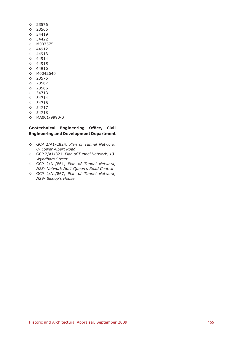- ◊ 23576
- ◊ 23565
- ◊ 34419
- ◊ 34422
- ◊ M003575
- ◊ 44912
- ◊ 44913
- ◊ 44914
- ◊ 44915 ◊ 44916
- ◊ M0042640
- ◊ 23575
- ◊ 23567
- ◊ 23566
- ◊ 54713
- ◊ 54714
- ◊ 54716
- ◊ 54717
- ◊ 54718
- ◊ MA001/9990-0

## **Geotechnical Engineering Office, Civil Engineering and Development Department**

- ◊ GCP 2/A1/C824, *Plan of Tunnel Network, 8- Lower Albert Road*
- ◊ GCP 2/A1/821, *Plan of Tunnel Network, 13- Wyndham Street*
- ◊ GCP 2/A1/861, *Plan of Tunnel Network, N23- Network No.1 Queen's Road Central*
- ◊ GCP 2/A1/867, *Plan of Tunnel Network, N29- Bishop's House*